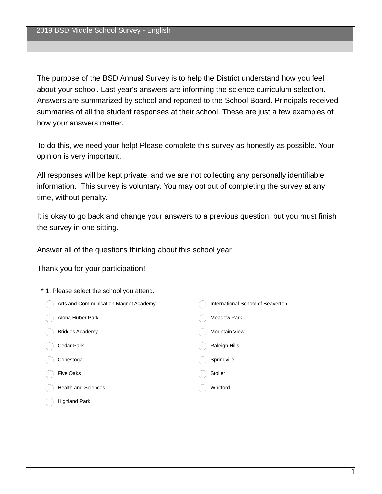The purpose of the BSD Annual Survey is to help the District understand how you feel about your school. Last year's answers are informing the science curriculum selection. Answers are summarized by school and reported to the School Board. Principals received summaries of all the student responses at their school. These are just a few examples of how your answers matter.

To do this, we need your help! Please complete this survey as honestly as possible. Your opinion is very important.

All responses will be kept private, and we are not collecting any personally identifiable information. This survey is voluntary. You may opt out of completing the survey at any time, without penalty.

It is okay to go back and change your answers to a previous question, but you must finish the survey in one sitting.

Answer all of the questions thinking about this school year.

Thank you for your participation!

\* 1. Please select the school you attend.

| Arts and Communication Magnet Academy | International School of Beaverton |
|---------------------------------------|-----------------------------------|
| Aloha Huber Park                      | <b>Meadow Park</b>                |
| <b>Bridges Academy</b>                | <b>Mountain View</b>              |
| Cedar Park                            | <b>Raleigh Hills</b>              |
| Conestoga                             | Springville                       |
| Five Oaks                             | Stoller                           |
| <b>Health and Sciences</b>            | Whitford                          |
| <b>Highland Park</b>                  |                                   |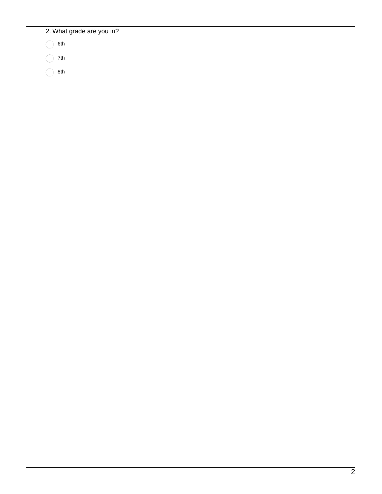| 2. What grade are you in? |
|---------------------------|
| 6th                       |
| 7th                       |
| 8th                       |
|                           |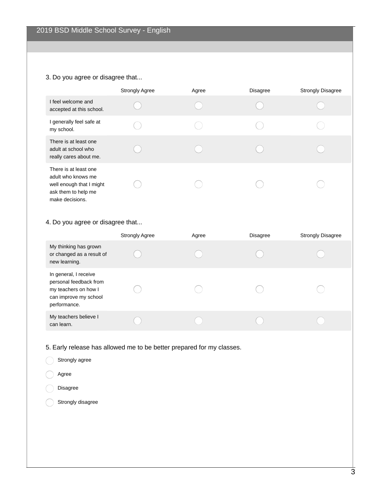## 3. Do you agree or disagree that...

|                                                                                                                   | <b>Strongly Agree</b> | Agree | <b>Disagree</b> | <b>Strongly Disagree</b> |
|-------------------------------------------------------------------------------------------------------------------|-----------------------|-------|-----------------|--------------------------|
| I feel welcome and<br>accepted at this school.                                                                    |                       |       |                 |                          |
| I generally feel safe at<br>my school.                                                                            |                       |       |                 |                          |
| There is at least one<br>adult at school who<br>really cares about me.                                            |                       |       |                 |                          |
| There is at least one<br>adult who knows me<br>well enough that I might<br>ask them to help me<br>make decisions. |                       |       |                 |                          |

## 4. Do you agree or disagree that...

|                                                                                                                  | <b>Strongly Agree</b> | Agree | <b>Disagree</b> | <b>Strongly Disagree</b> |
|------------------------------------------------------------------------------------------------------------------|-----------------------|-------|-----------------|--------------------------|
| My thinking has grown<br>or changed as a result of<br>new learning.                                              |                       |       |                 |                          |
| In general, I receive<br>personal feedback from<br>my teachers on how I<br>can improve my school<br>performance. |                       |       |                 |                          |
| My teachers believe I<br>can learn.                                                                              |                       |       |                 |                          |

## 5. Early release has allowed me to be better prepared for my classes.

| Strongly agree    |
|-------------------|
| Agree             |
| Disagree          |
| Strongly disagree |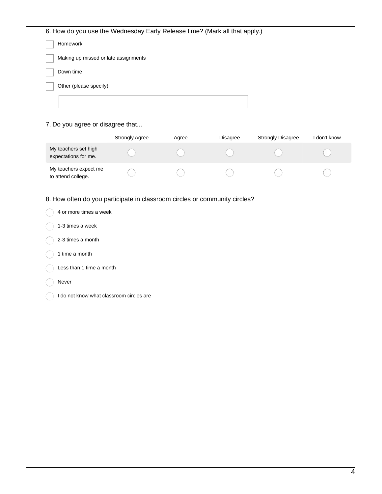| 6. How do you use the Wednesday Early Release time? (Mark all that apply.) |  |
|----------------------------------------------------------------------------|--|
| Homework                                                                   |  |
| Making up missed or late assignments                                       |  |
| Down time                                                                  |  |
| Other (please specify)                                                     |  |
|                                                                            |  |
|                                                                            |  |
| 7. Do you agree or disagree that                                           |  |

|                                                                            | <b>Strongly Agree</b> | Agree | Disagree | <b>Strongly Disagree</b> | I don't know |  |
|----------------------------------------------------------------------------|-----------------------|-------|----------|--------------------------|--------------|--|
| My teachers set high<br>expectations for me.                               |                       |       |          |                          |              |  |
| My teachers expect me<br>to attend college.                                |                       |       |          |                          |              |  |
| 8. How often do you participate in classroom circles or community circles? |                       |       |          |                          |              |  |
| 4 or more times a week                                                     |                       |       |          |                          |              |  |
| 1-3 times a week                                                           |                       |       |          |                          |              |  |
| 2-3 times a month                                                          |                       |       |          |                          |              |  |
| 1 time a month                                                             |                       |       |          |                          |              |  |
| Less than 1 time a month                                                   |                       |       |          |                          |              |  |
| Never                                                                      |                       |       |          |                          |              |  |
| do not know what classroom circles are                                     |                       |       |          |                          |              |  |
|                                                                            |                       |       |          |                          |              |  |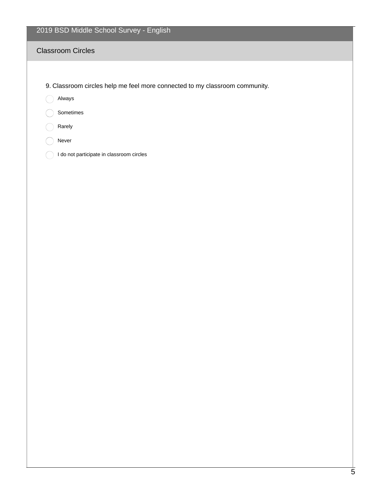# 2019 BSD Middle School Survey - English

## Classroom Circles

9. Classroom circles help me feel more connected to my classroom community.

Always

Sometimes

- Rarely
- Never
- $\bigcirc$  I do not participate in classroom circles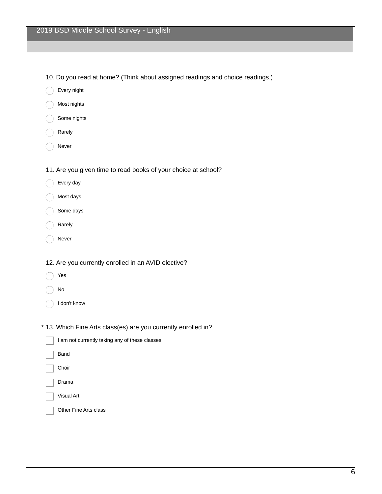| 2019 BSD Middle School Survey - English                                       |
|-------------------------------------------------------------------------------|
|                                                                               |
|                                                                               |
| 10. Do you read at home? (Think about assigned readings and choice readings.) |
| Every night                                                                   |
| Most nights                                                                   |
| Some nights                                                                   |
| Rarely                                                                        |
| Never                                                                         |
| 11. Are you given time to read books of your choice at school?                |
| Every day                                                                     |
| Most days                                                                     |
| Some days                                                                     |
| Rarely                                                                        |
| Never                                                                         |
|                                                                               |
| 12. Are you currently enrolled in an AVID elective?                           |
| Yes                                                                           |
| No                                                                            |
| I don't know                                                                  |
| * 13. Which Fine Arts class(es) are you currently enrolled in?                |
| I am not currently taking any of these classes                                |
| <b>Band</b>                                                                   |
| Choir                                                                         |
| Drama                                                                         |
| <b>Visual Art</b>                                                             |
| Other Fine Arts class                                                         |
|                                                                               |
|                                                                               |
|                                                                               |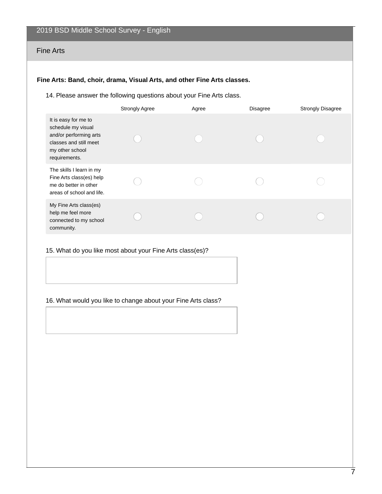### Fine Arts

## **Fine Arts: Band, choir, drama, Visual Arts, and other Fine Arts classes.**

#### 14. Please answer the following questions about your Fine Arts class.

|                                                                                                                                    | <b>Strongly Agree</b> | Agree | <b>Disagree</b> | <b>Strongly Disagree</b> |
|------------------------------------------------------------------------------------------------------------------------------------|-----------------------|-------|-----------------|--------------------------|
| It is easy for me to<br>schedule my visual<br>and/or performing arts<br>classes and still meet<br>my other school<br>requirements. |                       |       |                 |                          |
| The skills I learn in my<br>Fine Arts class(es) help<br>me do better in other<br>areas of school and life.                         |                       |       |                 |                          |
| My Fine Arts class(es)<br>help me feel more<br>connected to my school<br>community.                                                |                       |       |                 |                          |

15. What do you like most about your Fine Arts class(es)?

16. What would you like to change about your Fine Arts class?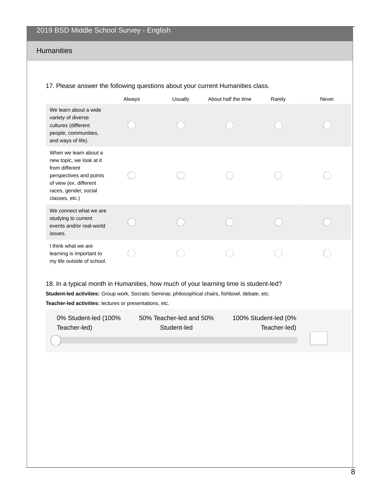# Humanities

| 17. Please answer the following questions about your current Humanities class.                                                                                                                                                                        |        |                                        |                     |                                      |       |  |  |
|-------------------------------------------------------------------------------------------------------------------------------------------------------------------------------------------------------------------------------------------------------|--------|----------------------------------------|---------------------|--------------------------------------|-------|--|--|
|                                                                                                                                                                                                                                                       | Always | Usually                                | About half the time | Rarely                               | Never |  |  |
| We learn about a wide<br>variety of diverse<br>cultures (different<br>people, communities,<br>and ways of life).                                                                                                                                      |        |                                        |                     |                                      |       |  |  |
| When we learn about a<br>new topic, we look at it<br>from different<br>perspectives and points<br>of view (ex. different<br>races, gender, social<br>classes, etc.)                                                                                   |        |                                        |                     |                                      |       |  |  |
| We connect what we are<br>studying to current<br>events and/or real-world<br>issues.                                                                                                                                                                  |        |                                        |                     |                                      |       |  |  |
| I think what we are<br>learning is important to<br>my life outside of school.                                                                                                                                                                         |        |                                        |                     |                                      |       |  |  |
| 18. In a typical month in Humanities, how much of your learning time is student-led?<br>Student-led activities: Group work, Socratic Seminar, philosophical chairs, fishbowl, debate, etc.<br>Teacher-led activities: lectures or presentations, etc. |        |                                        |                     |                                      |       |  |  |
|                                                                                                                                                                                                                                                       |        |                                        |                     |                                      |       |  |  |
| 0% Student-led (100%<br>Teacher-led)                                                                                                                                                                                                                  |        | 50% Teacher-led and 50%<br>Student-led |                     | 100% Student-led (0%<br>Teacher-led) |       |  |  |
|                                                                                                                                                                                                                                                       |        |                                        |                     |                                      |       |  |  |
|                                                                                                                                                                                                                                                       |        |                                        |                     |                                      |       |  |  |

17. Please answer the following questions about your current Humanities class.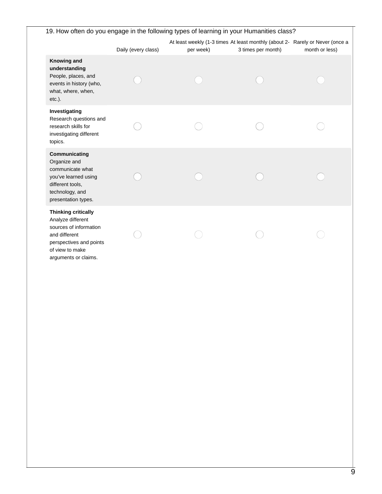### Daily (every class) At least weekly (1-3 times At least monthly (about 2- Rarely or Never (once a per week) 3 times per month) month or less) **Knowing and understanding** People, places, and events in history (who, what, where, when, etc.). **Investigating** Research questions and research skills for investigating different topics. **Communicating** Organize and communicate what you've learned using different tools, technology, and presentation types. **Thinking critically** Analyze different sources of information and different perspectives and points of view to make arguments or claims. 19. How often do you engage in the following types of learning in your Humanities class?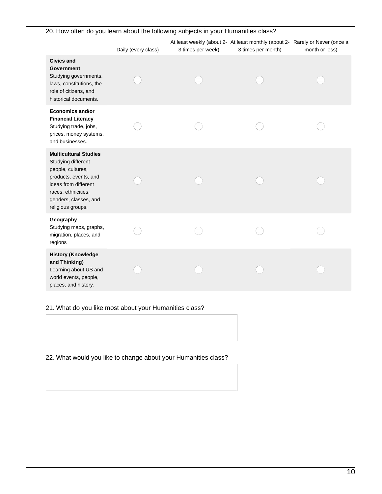| 20. How often do you learn about the following subjects in your Humanities class?                                                                                                             |                     |                   |                                                                                                    |                |  |
|-----------------------------------------------------------------------------------------------------------------------------------------------------------------------------------------------|---------------------|-------------------|----------------------------------------------------------------------------------------------------|----------------|--|
|                                                                                                                                                                                               | Daily (every class) | 3 times per week) | At least weekly (about 2- At least monthly (about 2- Rarely or Never (once a<br>3 times per month) | month or less) |  |
| <b>Civics and</b><br>Government<br>Studying governments,<br>laws, constitutions, the<br>role of citizens, and<br>historical documents.                                                        |                     |                   |                                                                                                    |                |  |
| <b>Economics and/or</b><br><b>Financial Literacy</b><br>Studying trade, jobs,<br>prices, money systems,<br>and businesses.                                                                    |                     |                   |                                                                                                    |                |  |
| <b>Multicultural Studies</b><br>Studying different<br>people, cultures,<br>products, events, and<br>ideas from different<br>races, ethnicities,<br>genders, classes, and<br>religious groups. |                     |                   |                                                                                                    |                |  |
| Geography<br>Studying maps, graphs,<br>migration, places, and<br>regions                                                                                                                      |                     |                   |                                                                                                    |                |  |
| <b>History (Knowledge</b><br>and Thinking)<br>Learning about US and<br>world events, people,<br>places, and history.                                                                          |                     |                   |                                                                                                    |                |  |
| 21. What do you like most about your Humanities class?                                                                                                                                        |                     |                   |                                                                                                    |                |  |

22. What would you like to change about your Humanities class?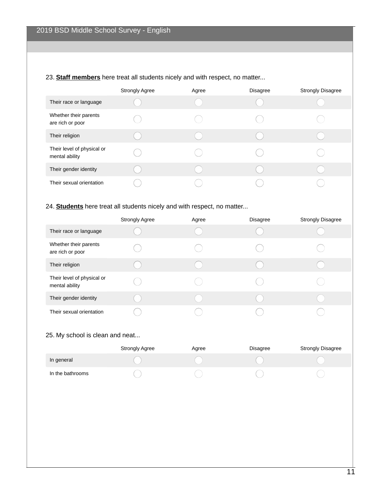## 23. **Staff members** here treat all students nicely and with respect, no matter...

|                                              | <b>Strongly Agree</b> | Agree | <b>Disagree</b> | <b>Strongly Disagree</b> |
|----------------------------------------------|-----------------------|-------|-----------------|--------------------------|
| Their race or language                       |                       |       |                 |                          |
| Whether their parents<br>are rich or poor    |                       |       |                 |                          |
| Their religion                               |                       |       |                 |                          |
| Their level of physical or<br>mental ability |                       |       |                 |                          |
| Their gender identity                        |                       |       |                 |                          |
| Their sexual orientation                     |                       |       |                 |                          |

## 24. **Students** here treat all students nicely and with respect, no matter...

|                                              | <b>Strongly Agree</b> | Agree | <b>Disagree</b> | <b>Strongly Disagree</b> |
|----------------------------------------------|-----------------------|-------|-----------------|--------------------------|
| Their race or language                       |                       |       |                 |                          |
| Whether their parents<br>are rich or poor    |                       |       |                 |                          |
| Their religion                               |                       |       |                 |                          |
| Their level of physical or<br>mental ability |                       |       |                 |                          |
| Their gender identity                        |                       |       |                 |                          |
| Their sexual orientation                     |                       |       |                 |                          |

#### 25. My school is clean and neat...

|                  | <b>Strongly Agree</b> | Agree | Disagree | <b>Strongly Disagree</b> |
|------------------|-----------------------|-------|----------|--------------------------|
| In general       |                       |       |          |                          |
| In the bathrooms |                       |       |          |                          |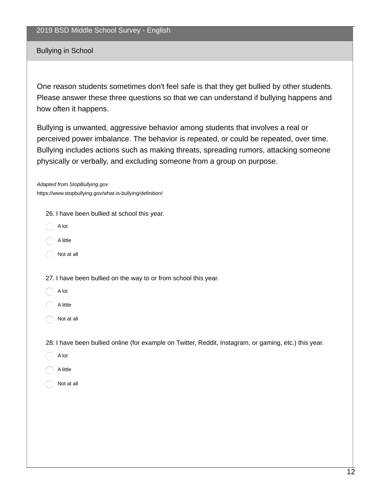## Bullying in School

One reason students sometimes don't feel safe is that they get bullied by other students. Please answer these three questions so that we can understand if bullying happens and how often it happens.

Bullying is unwanted, aggressive behavior among students that involves a real or perceived power imbalance. The behavior is repeated, or could be repeated, over time. Bullying includes actions such as making threats, spreading rumors, attacking someone physically or verbally, and excluding someone from a group on purpose.

*Adapted from StopBullying.gov* https://www.stopbullying.gov/what-is-bullying/definition/

26. I have been bullied at school this year.

- A lot
- A little
- Not at all

27. I have been bullied on the way to or from school this year.

- A lot
- A little
- Not at all

28. I have been bullied online (for example on Twitter, Reddit, Instagram, or gaming, etc.) this year.

- A lot
- A little
- Not at all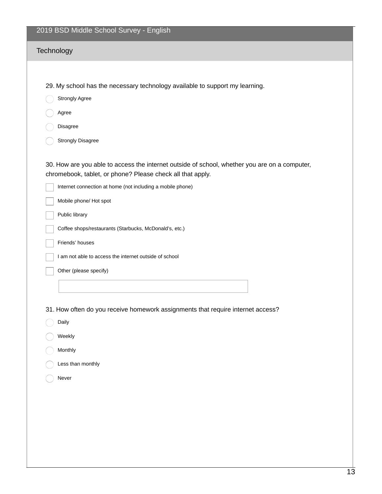| Technology<br>29. My school has the necessary technology available to support my learning.<br><b>Strongly Agree</b><br>Agree<br>Disagree<br><b>Strongly Disagree</b><br>30. How are you able to access the internet outside of school, whether you are on a computer,<br>chromebook, tablet, or phone? Please check all that apply.<br>Internet connection at home (not including a mobile phone)<br>Mobile phone/ Hot spot<br>Public library<br>Coffee shops/restaurants (Starbucks, McDonald's, etc.)<br>Friends' houses<br>I am not able to access the internet outside of school<br>Other (please specify)<br>31. How often do you receive homework assignments that require internet access?<br>Daily<br>Weekly<br>Monthly<br>Less than monthly<br>Never | 2019 BSD Middle School Survey - English |
|---------------------------------------------------------------------------------------------------------------------------------------------------------------------------------------------------------------------------------------------------------------------------------------------------------------------------------------------------------------------------------------------------------------------------------------------------------------------------------------------------------------------------------------------------------------------------------------------------------------------------------------------------------------------------------------------------------------------------------------------------------------|-----------------------------------------|
|                                                                                                                                                                                                                                                                                                                                                                                                                                                                                                                                                                                                                                                                                                                                                               |                                         |
|                                                                                                                                                                                                                                                                                                                                                                                                                                                                                                                                                                                                                                                                                                                                                               |                                         |
|                                                                                                                                                                                                                                                                                                                                                                                                                                                                                                                                                                                                                                                                                                                                                               |                                         |
|                                                                                                                                                                                                                                                                                                                                                                                                                                                                                                                                                                                                                                                                                                                                                               |                                         |
|                                                                                                                                                                                                                                                                                                                                                                                                                                                                                                                                                                                                                                                                                                                                                               |                                         |
|                                                                                                                                                                                                                                                                                                                                                                                                                                                                                                                                                                                                                                                                                                                                                               |                                         |
|                                                                                                                                                                                                                                                                                                                                                                                                                                                                                                                                                                                                                                                                                                                                                               |                                         |
|                                                                                                                                                                                                                                                                                                                                                                                                                                                                                                                                                                                                                                                                                                                                                               |                                         |
|                                                                                                                                                                                                                                                                                                                                                                                                                                                                                                                                                                                                                                                                                                                                                               |                                         |
|                                                                                                                                                                                                                                                                                                                                                                                                                                                                                                                                                                                                                                                                                                                                                               |                                         |
|                                                                                                                                                                                                                                                                                                                                                                                                                                                                                                                                                                                                                                                                                                                                                               |                                         |
|                                                                                                                                                                                                                                                                                                                                                                                                                                                                                                                                                                                                                                                                                                                                                               |                                         |
|                                                                                                                                                                                                                                                                                                                                                                                                                                                                                                                                                                                                                                                                                                                                                               |                                         |
|                                                                                                                                                                                                                                                                                                                                                                                                                                                                                                                                                                                                                                                                                                                                                               |                                         |
|                                                                                                                                                                                                                                                                                                                                                                                                                                                                                                                                                                                                                                                                                                                                                               |                                         |
|                                                                                                                                                                                                                                                                                                                                                                                                                                                                                                                                                                                                                                                                                                                                                               |                                         |
|                                                                                                                                                                                                                                                                                                                                                                                                                                                                                                                                                                                                                                                                                                                                                               |                                         |
|                                                                                                                                                                                                                                                                                                                                                                                                                                                                                                                                                                                                                                                                                                                                                               |                                         |
|                                                                                                                                                                                                                                                                                                                                                                                                                                                                                                                                                                                                                                                                                                                                                               |                                         |
|                                                                                                                                                                                                                                                                                                                                                                                                                                                                                                                                                                                                                                                                                                                                                               |                                         |
|                                                                                                                                                                                                                                                                                                                                                                                                                                                                                                                                                                                                                                                                                                                                                               |                                         |
|                                                                                                                                                                                                                                                                                                                                                                                                                                                                                                                                                                                                                                                                                                                                                               |                                         |
|                                                                                                                                                                                                                                                                                                                                                                                                                                                                                                                                                                                                                                                                                                                                                               |                                         |
|                                                                                                                                                                                                                                                                                                                                                                                                                                                                                                                                                                                                                                                                                                                                                               |                                         |
|                                                                                                                                                                                                                                                                                                                                                                                                                                                                                                                                                                                                                                                                                                                                                               |                                         |
|                                                                                                                                                                                                                                                                                                                                                                                                                                                                                                                                                                                                                                                                                                                                                               |                                         |
|                                                                                                                                                                                                                                                                                                                                                                                                                                                                                                                                                                                                                                                                                                                                                               |                                         |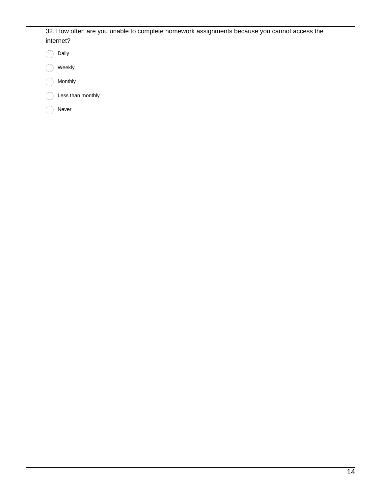| 32. How often are you unable to complete homework assignments because you cannot access the<br>internet? |
|----------------------------------------------------------------------------------------------------------|
| Daily                                                                                                    |
| Weekly                                                                                                   |
| Monthly                                                                                                  |
| Less than monthly                                                                                        |
| Never                                                                                                    |
|                                                                                                          |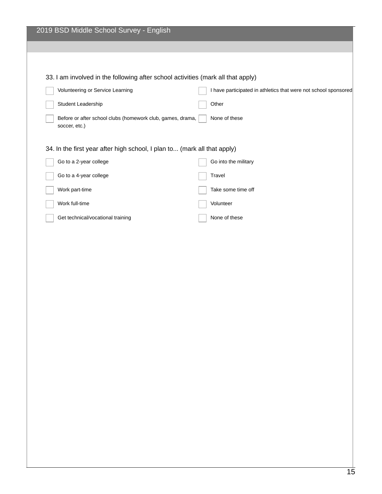| 2019 BSD Middle School Survey - English                                          |                                                                 |
|----------------------------------------------------------------------------------|-----------------------------------------------------------------|
|                                                                                  |                                                                 |
|                                                                                  |                                                                 |
| 33. I am involved in the following after school activities (mark all that apply) |                                                                 |
| Volunteering or Service Learning                                                 | I have participated in athletics that were not school sponsored |
| Student Leadership                                                               | Other                                                           |
| Before or after school clubs (homework club, games, drama,<br>soccer, etc.)      | None of these                                                   |
| 34. In the first year after high school, I plan to (mark all that apply)         |                                                                 |
| Go to a 2-year college                                                           | Go into the military                                            |
| Go to a 4-year college                                                           | Travel                                                          |
| Work part-time                                                                   | Take some time off                                              |
| Work full-time                                                                   | Volunteer                                                       |
| Get technical/vocational training                                                | None of these                                                   |
|                                                                                  |                                                                 |
|                                                                                  |                                                                 |
|                                                                                  |                                                                 |
|                                                                                  |                                                                 |
|                                                                                  |                                                                 |
|                                                                                  |                                                                 |
|                                                                                  |                                                                 |
|                                                                                  |                                                                 |
|                                                                                  |                                                                 |
|                                                                                  |                                                                 |
|                                                                                  |                                                                 |
|                                                                                  |                                                                 |
|                                                                                  |                                                                 |
|                                                                                  |                                                                 |
|                                                                                  |                                                                 |
|                                                                                  |                                                                 |
|                                                                                  |                                                                 |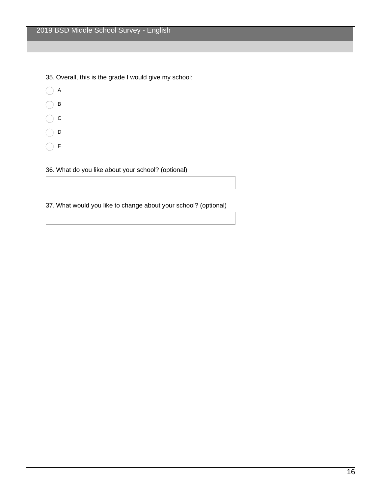35. Overall, this is the grade I would give my school:

 $\bigcirc$  A

 $\bigcirc$  B

- $\bigcirc$  c
- $\bigcirc$  D
- $\bigcirc$  F

36. What do you like about your school? (optional)

37. What would you like to change about your school? (optional)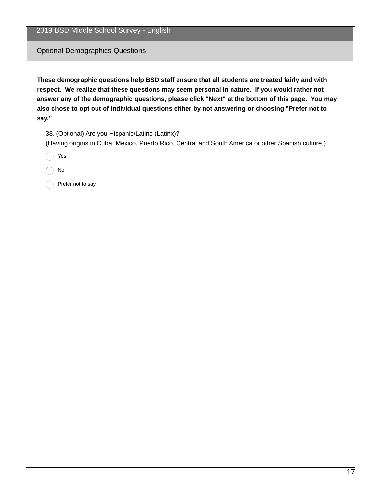| <b>Optional Demographics Questions</b>                                                                                                                                                           |
|--------------------------------------------------------------------------------------------------------------------------------------------------------------------------------------------------|
| These demographic questions help BSD staff ensure that all students are treated fairly and with<br>respect. We realize that these questions may seem personal in nature. If you would rather not |

**would** rather not **answer any of the demographic questions, please click "Next" at the bottom of this page. You may also chose to opt out of individual questions either by not answering or choosing "Prefer not to say."**

38. (Optional) Are you Hispanic/Latino (Latinx)?

2019 BSD Middle School Survey - English

(Having origins in Cuba, Mexico, Puerto Rico, Central and South America or other Spanish culture.)

Yes

No

Prefer not to say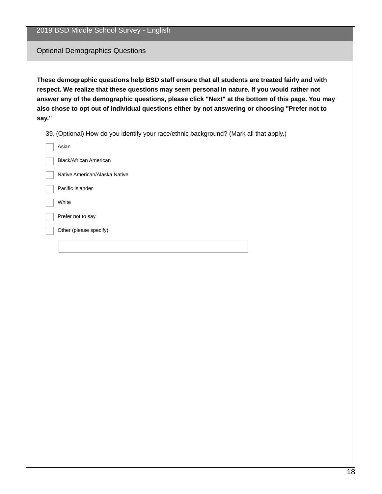|                        | 2019 BSD Middle School Survey - English                                                                                                                                                                                                                                                                                                                                                                  |
|------------------------|----------------------------------------------------------------------------------------------------------------------------------------------------------------------------------------------------------------------------------------------------------------------------------------------------------------------------------------------------------------------------------------------------------|
|                        | <b>Optional Demographics Questions</b>                                                                                                                                                                                                                                                                                                                                                                   |
| say."                  | These demographic questions help BSD staff ensure that all students are treated fairly and with<br>respect. We realize that these questions may seem personal in nature. If you would rather not<br>answer any of the demographic questions, please click "Next" at the bottom of this page. You may<br>also chose to opt out of individual questions either by not answering or choosing "Prefer not to |
|                        | 39. (Optional) How do you identify your race/ethnic background? (Mark all that apply.)                                                                                                                                                                                                                                                                                                                   |
| Asian                  |                                                                                                                                                                                                                                                                                                                                                                                                          |
|                        | Black/African American                                                                                                                                                                                                                                                                                                                                                                                   |
|                        | Native American/Alaska Native                                                                                                                                                                                                                                                                                                                                                                            |
| Pacific Islander       |                                                                                                                                                                                                                                                                                                                                                                                                          |
| White                  |                                                                                                                                                                                                                                                                                                                                                                                                          |
| Prefer not to say      |                                                                                                                                                                                                                                                                                                                                                                                                          |
| Other (please specify) |                                                                                                                                                                                                                                                                                                                                                                                                          |
|                        |                                                                                                                                                                                                                                                                                                                                                                                                          |
|                        |                                                                                                                                                                                                                                                                                                                                                                                                          |
|                        |                                                                                                                                                                                                                                                                                                                                                                                                          |
|                        |                                                                                                                                                                                                                                                                                                                                                                                                          |
|                        |                                                                                                                                                                                                                                                                                                                                                                                                          |
|                        |                                                                                                                                                                                                                                                                                                                                                                                                          |
|                        |                                                                                                                                                                                                                                                                                                                                                                                                          |
|                        |                                                                                                                                                                                                                                                                                                                                                                                                          |
|                        |                                                                                                                                                                                                                                                                                                                                                                                                          |
|                        |                                                                                                                                                                                                                                                                                                                                                                                                          |
|                        |                                                                                                                                                                                                                                                                                                                                                                                                          |
|                        |                                                                                                                                                                                                                                                                                                                                                                                                          |
|                        |                                                                                                                                                                                                                                                                                                                                                                                                          |
|                        |                                                                                                                                                                                                                                                                                                                                                                                                          |
|                        |                                                                                                                                                                                                                                                                                                                                                                                                          |
|                        |                                                                                                                                                                                                                                                                                                                                                                                                          |